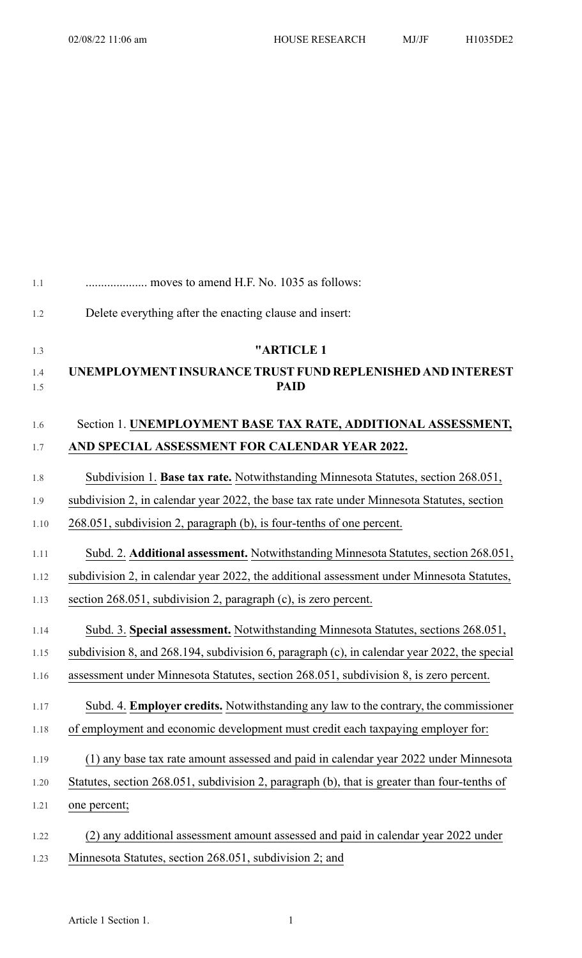| 1.1        | moves to amend H.F. No. 1035 as follows:                                                     |
|------------|----------------------------------------------------------------------------------------------|
| 1.2        | Delete everything after the enacting clause and insert:                                      |
| 1.3        | "ARTICLE 1                                                                                   |
| 1.4<br>1.5 | UNEMPLOYMENT INSURANCE TRUST FUND REPLENISHED AND INTEREST<br><b>PAID</b>                    |
| 1.6        | Section 1. UNEMPLOYMENT BASE TAX RATE, ADDITIONAL ASSESSMENT,                                |
| 1.7        | AND SPECIAL ASSESSMENT FOR CALENDAR YEAR 2022.                                               |
| 1.8        | Subdivision 1. Base tax rate. Notwithstanding Minnesota Statutes, section 268.051,           |
| 1.9        | subdivision 2, in calendar year 2022, the base tax rate under Minnesota Statutes, section    |
| 1.10       | 268.051, subdivision 2, paragraph (b), is four-tenths of one percent.                        |
| 1.11       | Subd. 2. Additional assessment. Notwithstanding Minnesota Statutes, section 268.051,         |
| 1.12       | subdivision 2, in calendar year 2022, the additional assessment under Minnesota Statutes,    |
| 1.13       | section 268.051, subdivision 2, paragraph (c), is zero percent.                              |
| 1.14       | Subd. 3. Special assessment. Notwithstanding Minnesota Statutes, sections 268.051,           |
| 1.15       | subdivision 8, and 268.194, subdivision 6, paragraph (c), in calendar year 2022, the special |
| 1.16       | assessment under Minnesota Statutes, section 268.051, subdivision 8, is zero percent.        |
| 1.17       | Subd. 4. Employer credits. Notwithstanding any law to the contrary, the commissioner         |
| 1.18       | of employment and economic development must credit each taxpaying employer for:              |
| 1.19       | (1) any base tax rate amount assessed and paid in calendar year 2022 under Minnesota         |
| 1.20       | Statutes, section 268.051, subdivision 2, paragraph (b), that is greater than four-tenths of |
| 1.21       | one percent;                                                                                 |
| 1.22       | (2) any additional assessment amount assessed and paid in calendar year 2022 under           |
| 1.23       | Minnesota Statutes, section 268.051, subdivision 2; and                                      |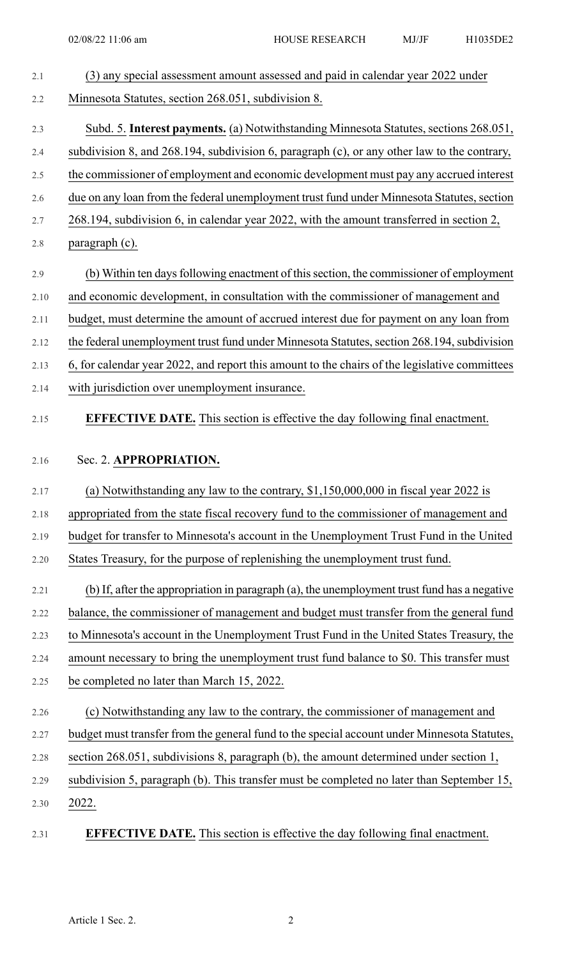| (3) any special assessment amount assessed and paid in calendar year 2022 under                                |
|----------------------------------------------------------------------------------------------------------------|
| Minnesota Statutes, section 268.051, subdivision 8.                                                            |
| Subd. 5. Interest payments. (a) Notwithstanding Minnesota Statutes, sections 268.051,                          |
| subdivision 8, and 268.194, subdivision 6, paragraph (c), or any other law to the contrary,                    |
| the commissioner of employment and economic development must pay any accrued interest                          |
| due on any loan from the federal unemployment trust fund under Minnesota Statutes, section                     |
| 268.194, subdivision 6, in calendar year 2022, with the amount transferred in section 2,                       |
| paragraph (c).                                                                                                 |
| (b) Within ten days following enactment of this section, the commissioner of employment                        |
| and economic development, in consultation with the commissioner of management and                              |
| budget, must determine the amount of accrued interest due for payment on any loan from                         |
| the federal unemployment trust fund under Minnesota Statutes, section 268.194, subdivision                     |
| 6, for calendar year 2022, and report this amount to the chairs of the legislative committees                  |
| with jurisdiction over unemployment insurance.                                                                 |
| <b>EFFECTIVE DATE.</b> This section is effective the day following final enactment.                            |
| Sec. 2. APPROPRIATION.<br>(a) Notwithstanding any law to the contrary, $$1,150,000,000$ in fiscal year 2022 is |
| appropriated from the state fiscal recovery fund to the commissioner of management and                         |
| budget for transfer to Minnesota's account in the Unemployment Trust Fund in the United                        |
| States Treasury, for the purpose of replenishing the unemployment trust fund.                                  |
| (b) If, after the appropriation in paragraph (a), the unemployment trust fund has a negative                   |
| balance, the commissioner of management and budget must transfer from the general fund                         |
| to Minnesota's account in the Unemployment Trust Fund in the United States Treasury, the                       |
| amount necessary to bring the unemployment trust fund balance to \$0. This transfer must                       |
| be completed no later than March 15, 2022.                                                                     |
| (c) Notwithstanding any law to the contrary, the commissioner of management and                                |
| budget must transfer from the general fund to the special account under Minnesota Statutes,                    |
| section 268.051, subdivisions 8, paragraph (b), the amount determined under section 1,                         |
| subdivision 5, paragraph (b). This transfer must be completed no later than September 15,                      |
|                                                                                                                |
| 2022.<br><b>EFFECTIVE DATE.</b> This section is effective the day following final enactment.                   |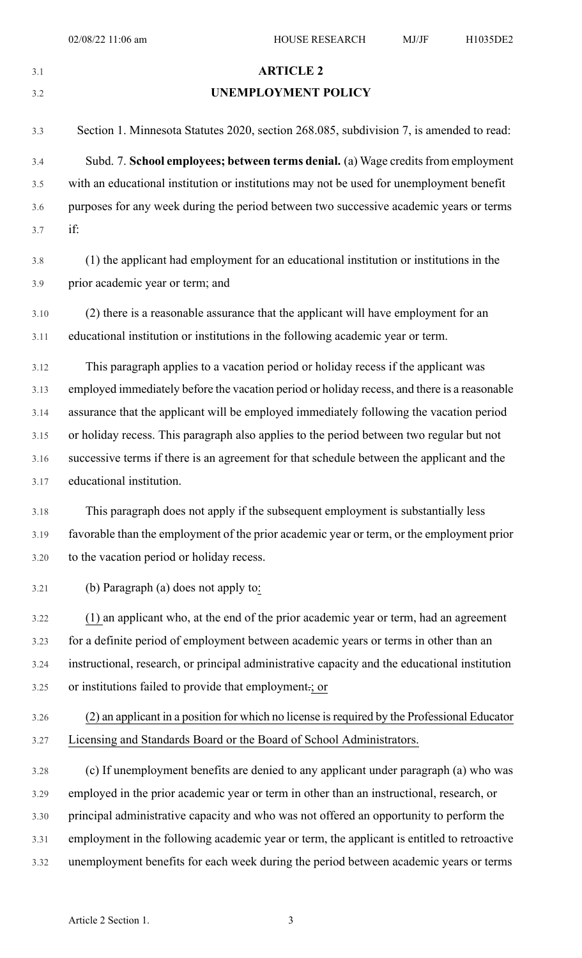## 3.1 **ARTICLE 2**

## 3.2 **UNEMPLOYMENT POLICY**

| 3.3  | Section 1. Minnesota Statutes 2020, section 268.085, subdivision 7, is amended to read:       |
|------|-----------------------------------------------------------------------------------------------|
| 3.4  | Subd. 7. School employees; between terms denial. (a) Wage credits from employment             |
| 3.5  | with an educational institution or institutions may not be used for unemployment benefit      |
| 3.6  | purposes for any week during the period between two successive academic years or terms        |
| 3.7  | if:                                                                                           |
| 3.8  | (1) the applicant had employment for an educational institution or institutions in the        |
| 3.9  | prior academic year or term; and                                                              |
| 3.10 | (2) there is a reasonable assurance that the applicant will have employment for an            |
| 3.11 | educational institution or institutions in the following academic year or term.               |
|      |                                                                                               |
| 3.12 | This paragraph applies to a vacation period or holiday recess if the applicant was            |
| 3.13 | employed immediately before the vacation period or holiday recess, and there is a reasonable  |
| 3.14 | assurance that the applicant will be employed immediately following the vacation period       |
| 3.15 | or holiday recess. This paragraph also applies to the period between two regular but not      |
| 3.16 | successive terms if there is an agreement for that schedule between the applicant and the     |
| 3.17 | educational institution.                                                                      |
| 3.18 | This paragraph does not apply if the subsequent employment is substantially less              |
| 3.19 | favorable than the employment of the prior academic year or term, or the employment prior     |
| 3.20 | to the vacation period or holiday recess.                                                     |
| 3.21 | (b) Paragraph (a) does not apply to:                                                          |
| 3.22 | (1) an applicant who, at the end of the prior academic year or term, had an agreement         |
| 3.23 | for a definite period of employment between academic years or terms in other than an          |
| 3.24 | instructional, research, or principal administrative capacity and the educational institution |
| 3.25 | or institutions failed to provide that employment .; or                                       |
| 3.26 | (2) an applicant in a position for which no license is required by the Professional Educator  |
| 3.27 | Licensing and Standards Board or the Board of School Administrators.                          |
| 3.28 | (c) If unemployment benefits are denied to any applicant under paragraph (a) who was          |
| 3.29 | employed in the prior academic year or term in other than an instructional, research, or      |
| 3.30 | principal administrative capacity and who was not offered an opportunity to perform the       |
| 3.31 | employment in the following academic year or term, the applicant is entitled to retroactive   |
| 3.32 | unemployment benefits for each week during the period between academic years or terms         |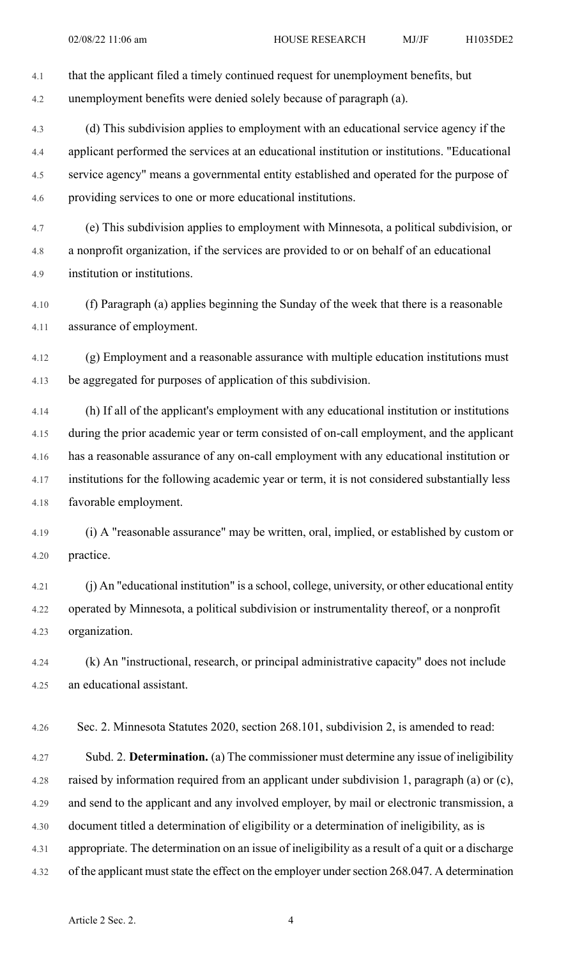4.2 unemployment benefits were denied solely because of paragraph (a). 4.3 (d) This subdivision applies to employment with an educational service agency if the 4.4 applicant performed the services at an educational institution or institutions. "Educational 4.5 service agency" means a governmental entity established and operated for the purpose of

4.1 that the applicant filed a timely continued request for unemployment benefits, but

4.6 providing services to one or more educational institutions.

4.7 (e) This subdivision applies to employment with Minnesota, a political subdivision, or 4.8 a nonprofit organization, if the services are provided to or on behalf of an educational 4.9 institution or institutions.

4.10 (f) Paragraph (a) applies beginning the Sunday of the week that there is a reasonable 4.11 assurance of employment.

4.12 (g) Employment and a reasonable assurance with multiple education institutions must 4.13 be aggregated for purposes of application of this subdivision.

4.14 (h) If all of the applicant's employment with any educational institution or institutions 4.15 during the prior academic year or term consisted of on-call employment, and the applicant 4.16 has a reasonable assurance of any on-call employment with any educational institution or 4.17 institutions for the following academic year or term, it is not considered substantially less 4.18 favorable employment.

4.19 (i) A "reasonable assurance" may be written, oral, implied, or established by custom or 4.20 practice.

4.21 (j) An "educational institution" is a school, college, university, or other educational entity 4.22 operated by Minnesota, a political subdivision or instrumentality thereof, or a nonprofit 4.23 organization.

4.24 (k) An "instructional, research, or principal administrative capacity" does not include 4.25 an educational assistant.

4.26 Sec. 2. Minnesota Statutes 2020, section 268.101, subdivision 2, is amended to read:

4.27 Subd. 2. **Determination.** (a) The commissioner must determine any issue of ineligibility 4.28 raised by information required from an applicant under subdivision 1, paragraph (a) or (c), 4.29 and send to the applicant and any involved employer, by mail or electronic transmission, a 4.30 document titled a determination of eligibility or a determination of ineligibility, as is 4.31 appropriate. The determination on an issue of ineligibility as a result of a quit or a discharge 4.32 of the applicant must state the effect on the employer under section 268.047. A determination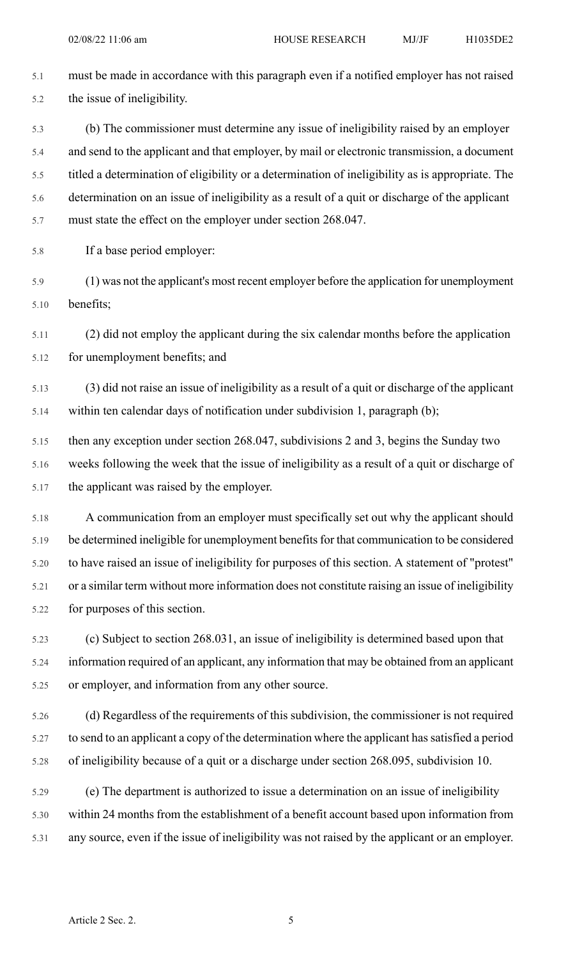5.1 must be made in accordance with this paragraph even if a notified employer has not raised 5.2 the issue of ineligibility. 5.3 (b) The commissioner must determine any issue of ineligibility raised by an employer 5.4 and send to the applicant and that employer, by mail or electronic transmission, a document 5.5 titled a determination of eligibility or a determination of ineligibility as is appropriate. The 5.6 determination on an issue of ineligibility as a result of a quit or discharge of the applicant 5.7 must state the effect on the employer under section 268.047. 5.8 If a base period employer: 5.9 (1) was not the applicant's most recent employer before the application for unemployment 5.10 benefits; 5.11 (2) did not employ the applicant during the six calendar months before the application 5.12 for unemployment benefits; and 5.13 (3) did not raise an issue of ineligibility as a result of a quit or discharge of the applicant 5.14 within ten calendar days of notification under subdivision 1, paragraph (b); 5.15 then any exception under section 268.047, subdivisions 2 and 3, begins the Sunday two 5.16 weeks following the week that the issue of ineligibility as a result of a quit or discharge of 5.17 the applicant was raised by the employer. 5.18 A communication from an employer must specifically set out why the applicant should 5.19 be determined ineligible for unemployment benefits for that communication to be considered

5.20 to have raised an issue of ineligibility for purposes of this section. A statement of "protest" 5.21 or a similar term without more information does not constitute raising an issue of ineligibility 5.22 for purposes of this section.

5.23 (c) Subject to section 268.031, an issue of ineligibility is determined based upon that 5.24 information required of an applicant, any information that may be obtained from an applicant 5.25 or employer, and information from any other source.

5.26 (d) Regardless of the requirements of this subdivision, the commissioner is not required 5.27 to send to an applicant a copy of the determination where the applicant hassatisfied a period 5.28 of ineligibility because of a quit or a discharge under section 268.095, subdivision 10.

5.29 (e) The department is authorized to issue a determination on an issue of ineligibility 5.30 within 24 months from the establishment of a benefit account based upon information from 5.31 any source, even if the issue of ineligibility was not raised by the applicant or an employer.